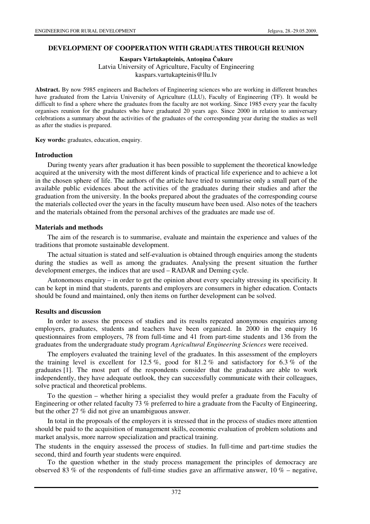## **DEVELOPMENT OF COOPERATION WITH GRADUATES THROUGH REUNION**

**Kaspars V**ā**rtukapteinis, Anto**ņ**ina** Č**ukure** 

Latvia University of Agriculture, Faculty of Engineering kaspars.vartukapteinis@llu.lv

**Abstract.** By now 5985 engineers and Bachelors of Engineering sciences who are working in different branches have graduated from the Latvia University of Agriculture (LLU), Faculty of Engineering (TF). It would be difficult to find a sphere where the graduates from the faculty are not working. Since 1985 every year the faculty organises reunion for the graduates who have graduated 20 years ago. Since 2000 in relation to anniversary celebrations a summary about the activities of the graduates of the corresponding year during the studies as well as after the studies is prepared.

**Key words:** graduates, education, enquiry.

### **Introduction**

During twenty years after graduation it has been possible to supplement the theoretical knowledge acquired at the university with the most different kinds of practical life experience and to achieve a lot in the chosen sphere of life. The authors of the article have tried to summarise only a small part of the available public evidences about the activities of the graduates during their studies and after the graduation from the university. In the books prepared about the graduates of the corresponding course the materials collected over the years in the faculty museum have been used. Also notes of the teachers and the materials obtained from the personal archives of the graduates are made use of.

### **Materials and methods**

The aim of the research is to summarise, evaluate and maintain the experience and values of the traditions that promote sustainable development.

The actual situation is stated and self-evaluation is obtained through enquiries among the students during the studies as well as among the graduates. Analysing the present situation the further development emerges, the indices that are used – RADAR and Deming cycle.

Autonomous enquiry – in order to get the opinion about every specialty stressing its specificity. It can be kept in mind that students, parents and employers are consumers in higher education. Contacts should be found and maintained, only then items on further development can be solved.

## **Results and discussion**

In order to assess the process of studies and its results repeated anonymous enquiries among employers, graduates, students and teachers have been organized. In 2000 in the enquiry 16 questionnaires from employers, 78 from full-time and 41 from part-time students and 136 from the graduates from the undergraduate study program *Agricultural Engineering Sciences* were received.

The employers evaluated the training level of the graduates. In this assessment of the employers the training level is excellent for  $12.5\%$ , good for  $81.2\%$  and satisfactory for  $6.3\%$  of the graduates [1]. The most part of the respondents consider that the graduates are able to work independently, they have adequate outlook, they can successfully communicate with their colleagues, solve practical and theoretical problems.

To the question – whether hiring a specialist they would prefer a graduate from the Faculty of Engineering or other related faculty 73 % preferred to hire a graduate from the Faculty of Engineering, but the other 27 % did not give an unambiguous answer.

In total in the proposals of the employers it is stressed that in the process of studies more attention should be paid to the acquisition of management skills, economic evaluation of problem solutions and market analysis, more narrow specialization and practical training.

The students in the enquiry assessed the process of studies. In full-time and part-time studies the second, third and fourth year students were enquired.

To the question whether in the study process management the principles of democracy are observed 83 % of the respondents of full-time studies gave an affirmative answer,  $10\%$  – negative,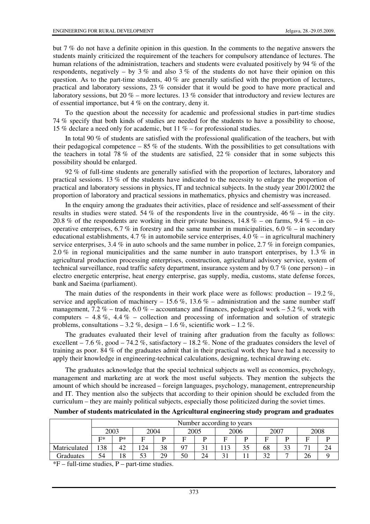but 7 % do not have a definite opinion in this question. In the comments to the negative answers the students mainly criticized the requirement of the teachers for compulsory attendance of lectures. The human relations of the administration, teachers and students were evaluated positively by 94 % of the respondents, negatively – by 3 % and also 3 % of the students do not have their opinion on this question. As to the part-time students, 40 % are generally satisfied with the proportion of lectures, practical and laboratory sessions, 23 % consider that it would be good to have more practical and laboratory sessions, but 20 % – more lectures. 13 % consider that introductory and review lectures are of essential importance, but 4 % on the contrary, deny it.

To the question about the necessity for academic and professional studies in part-time studies 74 % specify that both kinds of studies are needed for the students to have a possibility to choose, 15 % declare a need only for academic, but 11 % – for professional studies.

In total 90 % of students are satisfied with the professional qualification of the teachers, but with their pedagogical competence  $-85\%$  of the students. With the possibilities to get consultations with the teachers in total 78 % of the students are satisfied, 22 % consider that in some subjects this possibility should be enlarged.

92 % of full-time students are generally satisfied with the proportion of lectures, laboratory and practical sessions. 13 % of the students have indicated to the necessity to enlarge the proportion of practical and laboratory sessions in physics, IT and technical subjects. In the study year 2001/2002 the proportion of laboratory and practical sessions in mathematics, physics and chemistry was increased.

In the enquiry among the graduates their activities, place of residence and self-assessment of their results in studies were stated. 54 % of the respondents live in the countryside, 46 % – in the city. 20.8 % of the respondents are working in their private business,  $14.8\%$  – on farms,  $9.4\%$  – in cooperative enterprises, 6.7 % in forestry and the same number in municipalities, 6.0 % – in secondary educational establishments, 4.7 % in automobile service enterprises, 4.0 % – in agricultural machinery service enterprises, 3.4 % in auto schools and the same number in police, 2.7 % in foreign companies, 2.0 % in regional municipalities and the same number in auto transport enterprises, by 1.3 % in agricultural production processing enterprises, construction, agricultural advisory service, system of technical surveillance, road traffic safety department, insurance system and by 0.7 % (one person) – in electro energetic enterprise, heat energy enterprise, gas supply, media, customs, state defense forces, bank and Saeima (parliament).

The main duties of the respondents in their work place were as follows: production  $-19.2\%$ , service and application of machinery – 15.6 %, 13.6 % – administration and the same number staff management, 7.2 % – trade, 6.0 % – accountancy and finances, pedagogical work – 5.2 %, work with computers – 4.8 %, 4.4 % – collection and processing of information and solution of strategic problems, consultations  $-3.2\%$ , design  $-1.6\%$ , scientific work  $-1.2\%$ .

The graduates evaluated their level of training after graduation from the faculty as follows: excellent – 7.6 %, good – 74.2 %, satisfactory – 18.2 %. None of the graduates considers the level of training as poor. 84 % of the graduates admit that in their practical work they have had a necessity to apply their knowledge in engineering-technical calculations, designing, technical drawing etc.

The graduates acknowledge that the special technical subjects as well as economics, psychology, management and marketing are at work the most useful subjects. They mention the subjects the amount of which should be increased – foreign languages, psychology, management, entrepreneurship and IT. They mention also the subjects that according to their opinion should be excluded from the curriculum – they are mainly political subjects, especially those politicized during the soviet times.

|              | Number according to years |    |      |    |      |    |      |     |           |    |                |  |
|--------------|---------------------------|----|------|----|------|----|------|-----|-----------|----|----------------|--|
|              | 2003                      |    | 2004 |    | 2005 |    | 2006 |     | $200^{-}$ |    | 2008           |  |
|              | $F^*$                     | D* | F.   |    | ⇁    |    | Е.   |     | Е         |    |                |  |
| Matriculated | 138                       | 42 | .24  | 38 | 97   |    | 113  | ں ر | 68        | 33 | $\overline{ }$ |  |
| Graduates    | 54                        | 18 | 53   | 29 | 50   | 24 |      |     | $\Omega$  |    | ⌒.<br>۷O       |  |

 $*F$  – full-time studies, P – part-time studies.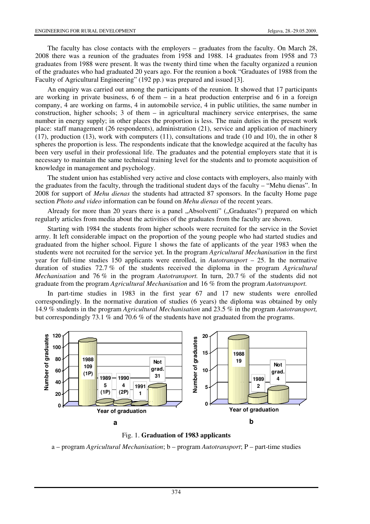The faculty has close contacts with the employers – graduates from the faculty. On March 28, 2008 there was a reunion of the graduates from 1958 and 1988. 14 graduates from 1958 and 73 graduates from 1988 were present. It was the twenty third time when the faculty organized a reunion of the graduates who had graduated 20 years ago. For the reunion a book "Graduates of 1988 from the Faculty of Agricultural Engineering" (192 pp.) was prepared and issued [3].

An enquiry was carried out among the participants of the reunion. It showed that 17 participants are working in private business, 6 of them – in a heat production enterprise and 6 in a foreign company, 4 are working on farms, 4 in automobile service, 4 in public utilities, the same number in construction, higher schools; 3 of them – in agricultural machinery service enterprises, the same number in energy supply; in other places the proportion is less. The main duties in the present work place: staff management (26 respondents), administration (21), service and application of machinery (17), production (13), work with computers (11), consultations and trade (10 and 10), the in other 8 spheres the proportion is less. The respondents indicate that the knowledge acquired at the faculty has been very useful in their professional life. The graduates and the potential employers state that it is necessary to maintain the same technical training level for the students and to promote acquisition of knowledge in management and psychology.

The student union has established very active and close contacts with employers, also mainly with the graduates from the faculty, through the traditional student days of the faculty – "Mehu dienas". In 2008 for support of *Mehu dienas* the students had attracted 87 sponsors. In the faculty Home page section *Photo and video* information can be found on *Mehu dienas* of the recent years.

Already for more than 20 years there is a panel ...Absolventi" (...Graduates") prepared on which regularly articles from media about the activities of the graduates from the faculty are shown.

Starting with 1984 the students from higher schools were recruited for the service in the Soviet army. It left considerable impact on the proportion of the young people who had started studies and graduated from the higher school. Figure 1 shows the fate of applicants of the year 1983 when the students were not recruited for the service yet. In the program *Agricultural Mechanisation* in the first year for full-time studies 150 applicants were enrolled, in *Autotransport* – 25. In the normative duration of studies 72.7 % of the students received the diploma in the program *Agricultural Mechanisation* and 76 % in the program *Autotransport.* In turn, 20.7 % of the students did not graduate from the program *Agricultural Mechanisation* and 16 % from the program *Autotransport.* 

In part-time studies in 1983 in the first year 67 and 17 new students were enrolled correspondingly. In the normative duration of studies (6 years) the diploma was obtained by only 14.9 % students in the program *Agricultural Mechanisation* and 23.5 % in the program *Autotransport,*  but correspondingly 73.1 % and 70.6 % of the students have not graduated from the programs.



Fig. 1. **Graduation of 1983 applicants**

a – program *Agricultural Mechanisation*; b – program *Autotransport*; P – part-time studies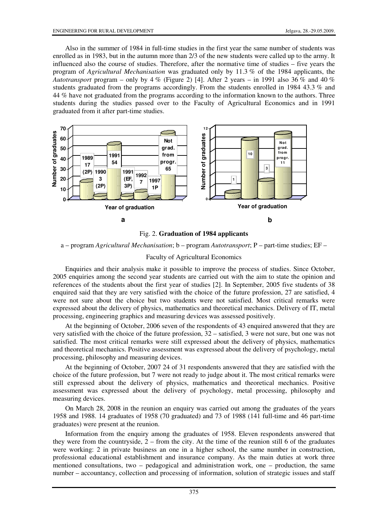Also in the summer of 1984 in full-time studies in the first year the same number of students was enrolled as in 1983, but in the autumn more than 2/3 of the new students were called up to the army. It influenced also the course of studies. Therefore, after the normative time of studies – five years the program of *Agricultural Mechanisation* was graduated only by 11.3 % of the 1984 applicants, the *Autotransport* program – only by 4 % (Figure 2) [4]. After 2 years – in 1991 also 36 % and 40 % students graduated from the programs accordingly. From the students enrolled in 1984 43.3 % and 44 % have not graduated from the programs according to the information known to the authors. Three students during the studies passed over to the Faculty of Agricultural Economics and in 1991 graduated from it after part-time studies.



Fig. 2. **Graduation of 1984 applicants**

a – program *Agricultural Mechanisation*; b – program *Autotransport*; P – part-time studies; EF –

# Faculty of Agricultural Economics

Enquiries and their analysis make it possible to improve the process of studies. Since October, 2005 enquiries among the second year students are carried out with the aim to state the opinion and references of the students about the first year of studies [2]. In September, 2005 five students of 38 enquired said that they are very satisfied with the choice of the future profession, 27 are satisfied, 4 were not sure about the choice but two students were not satisfied. Most critical remarks were expressed about the delivery of physics, mathematics and theoretical mechanics. Delivery of IT, metal processing, engineering graphics and measuring devices was assessed positively.

At the beginning of October, 2006 seven of the respondents of 43 enquired answered that they are very satisfied with the choice of the future profession, 32 – satisfied, 3 were not sure, but one was not satisfied. The most critical remarks were still expressed about the delivery of physics, mathematics and theoretical mechanics. Positive assessment was expressed about the delivery of psychology, metal processing, philosophy and measuring devices.

At the beginning of October, 2007 24 of 31 respondents answered that they are satisfied with the choice of the future profession, but 7 were not ready to judge about it. The most critical remarks were still expressed about the delivery of physics, mathematics and theoretical mechanics. Positive assessment was expressed about the delivery of psychology, metal processing, philosophy and measuring devices.

On March 28, 2008 in the reunion an enquiry was carried out among the graduates of the years 1958 and 1988. 14 graduates of 1958 (70 graduated) and 73 of 1988 (141 full-time and 46 part-time graduates) were present at the reunion.

Information from the enquiry among the graduates of 1958. Eleven respondents answered that they were from the countryside,  $2 -$  from the city. At the time of the reunion still 6 of the graduates were working: 2 in private business an one in a higher school, the same number in construction, professional educational establishment and insurance company. As the main duties at work three mentioned consultations, two – pedagogical and administration work, one – production, the same number – accountancy, collection and processing of information, solution of strategic issues and staff